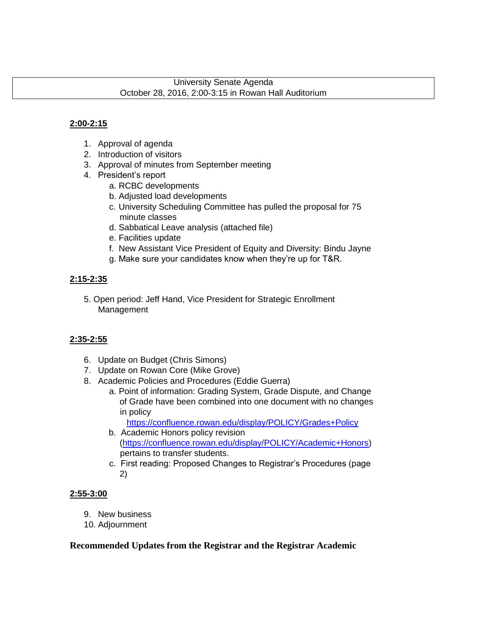## **2:00-2:15**

- 1. Approval of agenda
- 2. Introduction of visitors
- 3. Approval of minutes from September meeting
- 4. President's report
	- a. RCBC developments
	- b. Adjusted load developments
	- c. University Scheduling Committee has pulled the proposal for 75 minute classes
	- d. Sabbatical Leave analysis (attached file)
	- e. Facilities update
	- f. New Assistant Vice President of Equity and Diversity: Bindu Jayne
	- g. Make sure your candidates know when they're up for T&R.

# **2:15-2:35**

5. Open period: Jeff Hand, Vice President for Strategic Enrollment Management

# **2:35-2:55**

- 6. Update on Budget (Chris Simons)
- 7. Update on Rowan Core (Mike Grove)
- 8. Academic Policies and Procedures (Eddie Guerra)
	- a. Point of information: Grading System, Grade Dispute, and Change of Grade have been combined into one document with no changes in policy

https://confluence.rowan.edu/display/POLICY/Grades+Policy

- b. Academic Honors policy revision (https://confluence.rowan.edu/display/POLICY/Academic+Honors) pertains to transfer students.
- c. First reading: Proposed Changes to Registrar's Procedures (page 2)

## **2:55-3:00**

- 9. New business
- 10. Adjournment

## **Recommended Updates from the Registrar and the Registrar Academic**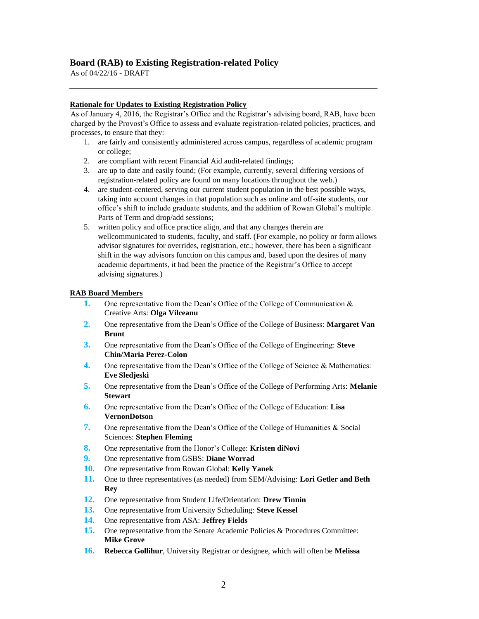## **Board (RAB) to Existing Registration-related Policy**

As of 04/22/16 - DRAFT

### **Rationale for Updates to Existing Registration Policy**

As of January 4, 2016, the Registrar's Office and the Registrar's advising board, RAB, have been charged by the Provost's Office to assess and evaluate registration-related policies, practices, and processes, to ensure that they:

- 1. are fairly and consistently administered across campus, regardless of academic program or college;
- 2. are compliant with recent Financial Aid audit-related findings;
- 3. are up to date and easily found; (For example, currently, several differing versions of registration-related policy are found on many locations throughout the web.)
- 4. are student-centered, serving our current student population in the best possible ways, taking into account changes in that population such as online and off-site students, our office's shift to include graduate students, and the addition of Rowan Global's multiple Parts of Term and drop/add sessions;
- 5. written policy and office practice align, and that any changes therein are wellcommunicated to students, faculty, and staff. (For example, no policy or form allows advisor signatures for overrides, registration, etc.; however, there has been a significant shift in the way advisors function on this campus and, based upon the desires of many academic departments, it had been the practice of the Registrar's Office to accept advising signatures.)

### **RAB Board Members**

- **1.** One representative from the Dean's Office of the College of Communication & Creative Arts: **Olga Vilceanu**
- **2.** One representative from the Dean's Office of the College of Business: **Margaret Van Brunt**
- **3.** One representative from the Dean's Office of the College of Engineering: **Steve Chin/Maria Perez-Colon**
- **4.** One representative from the Dean's Office of the College of Science & Mathematics: **Eve Sledjeski**
- **5.** One representative from the Dean's Office of the College of Performing Arts: **Melanie Stewart**
- **6.** One representative from the Dean's Office of the College of Education: **Lisa VernonDotson**
- **7.** One representative from the Dean's Office of the College of Humanities & Social Sciences: **Stephen Fleming**
- **8.** One representative from the Honor's College: **Kristen diNovi**
- **9.** One representative from GSBS: **Diane Worrad**
- **10.** One representative from Rowan Global: **Kelly Yanek**
- **11.** One to three representatives (as needed) from SEM/Advising: **Lori Getler and Beth Rey**
- **12.** One representative from Student Life/Orientation: **Drew Tinnin**
- **13.** One representative from University Scheduling: **Steve Kessel**
- **14.** One representative from ASA: **Jeffrey Fields**
- **15.** One representative from the Senate Academic Policies & Procedures Committee: **Mike Grove**
- **16. Rebecca Gollihur**, University Registrar or designee, which will often be **Melissa**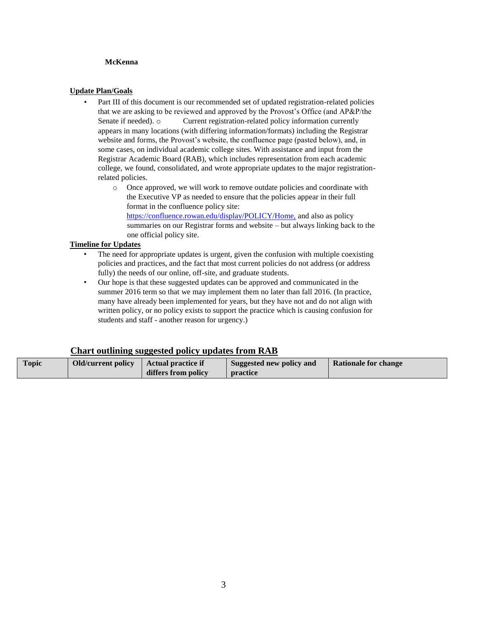#### **McKenna**

#### **Update Plan/Goals**

- Part III of this document is our recommended set of updated registration-related policies that we are asking to be reviewed and approved by the Provost's Office (and AP&P/the Senate if needed).  $\circ$  Current registration-related policy information currently appears in many locations (with differing information/formats) including the Registrar website and forms, the Provost's website, the confluence page (pasted below), and, in some cases, on individual academic college sites. With assistance and input from the Registrar Academic Board (RAB), which includes representation from each academic college, we found, consolidated, and wrote appropriate updates to the major registrationrelated policies.
	- o Once approved, we will work to remove outdate policies and coordinate with the Executive VP as needed to ensure that the policies appear in their full format in the confluence policy site: https://confluence.rowan.edu/display/POLICY/Home, and also as policy summaries on our Registrar forms and website – but always linking back to the one official policy site.

#### **Timeline for Updates**

- The need for appropriate updates is urgent, given the confusion with multiple coexisting policies and practices, and the fact that most current policies do not address (or address fully) the needs of our online, off-site, and graduate students.
- Our hope is that these suggested updates can be approved and communicated in the summer 2016 term so that we may implement them no later than fall 2016. (In practice, many have already been implemented for years, but they have not and do not align with written policy, or no policy exists to support the practice which is causing confusion for students and staff - another reason for urgency.)

### **Chart outlining suggested policy updates from RAB**

| <b>Topic</b> | Old/current policy | Actual practice if  | Suggested new policy and | <b>Rationale for change</b> |  |
|--------------|--------------------|---------------------|--------------------------|-----------------------------|--|
|              |                    | differs from policy | practice                 |                             |  |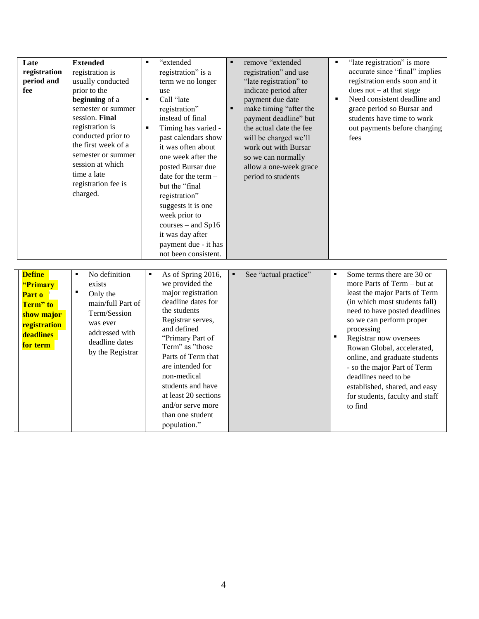| Late<br>registration<br>period and<br>fee                                                              | <b>Extended</b><br>registration is<br>usually conducted<br>prior to the<br>beginning of a<br>semester or summer<br>session. Final<br>registration is<br>conducted prior to<br>the first week of a<br>semester or summer<br>session at which<br>time a late<br>registration fee is<br>charged. | $\blacksquare$<br>"extended<br>registration" is a<br>term we no longer<br>use<br>Call "late<br>$\blacksquare$<br>registration"<br>instead of final<br>Timing has varied -<br>٠<br>past calendars show<br>it was often about<br>one week after the<br>posted Bursar due<br>date for the term -<br>but the "final<br>registration"<br>suggests it is one<br>week prior to<br>courses - and Sp16<br>it was day after<br>payment due - it has<br>not been consistent. | remove "extended<br>registration" and use<br>"late registration" to<br>indicate period after<br>payment due date<br>$\blacksquare$<br>make timing "after the<br>payment deadline" but<br>the actual date the fee<br>will be charged we'll<br>work out with Bursar -<br>so we can normally<br>allow a one-week grace<br>period to students | "late registration" is more<br>accurate since "final" implies<br>registration ends soon and it<br>does not $-$ at that stage<br>Need consistent deadline and<br>$\blacksquare$<br>grace period so Bursar and<br>students have time to work<br>out payments before charging<br>fees                                                                                                                                                                                        |
|--------------------------------------------------------------------------------------------------------|-----------------------------------------------------------------------------------------------------------------------------------------------------------------------------------------------------------------------------------------------------------------------------------------------|-------------------------------------------------------------------------------------------------------------------------------------------------------------------------------------------------------------------------------------------------------------------------------------------------------------------------------------------------------------------------------------------------------------------------------------------------------------------|-------------------------------------------------------------------------------------------------------------------------------------------------------------------------------------------------------------------------------------------------------------------------------------------------------------------------------------------|---------------------------------------------------------------------------------------------------------------------------------------------------------------------------------------------------------------------------------------------------------------------------------------------------------------------------------------------------------------------------------------------------------------------------------------------------------------------------|
| <b>Define</b><br>"Primary<br>Part o<br>Term" to<br>show major<br>registration<br>deadlines<br>for term | No definition<br>$\blacksquare$<br>exists<br>$\blacksquare$<br>Only the<br>main/full Part of<br>Term/Session<br>was ever<br>addressed with<br>deadline dates<br>by the Registrar                                                                                                              | As of Spring 2016,<br>٠<br>we provided the<br>major registration<br>deadline dates for<br>the students<br>Registrar serves,<br>and defined<br>"Primary Part of<br>Term" as "those<br>Parts of Term that<br>are intended for<br>non-medical<br>students and have<br>at least 20 sections<br>and/or serve more<br>than one student<br>population."                                                                                                                  | See "actual practice"                                                                                                                                                                                                                                                                                                                     | Some terms there are 30 or<br>$\blacksquare$<br>more Parts of Term – but at<br>least the major Parts of Term<br>(in which most students fall)<br>need to have posted deadlines<br>so we can perform proper<br>processing<br>$\blacksquare$<br>Registrar now oversees<br>Rowan Global, accelerated,<br>online, and graduate students<br>- so the major Part of Term<br>deadlines need to be<br>established, shared, and easy<br>for students, faculty and staff<br>to find |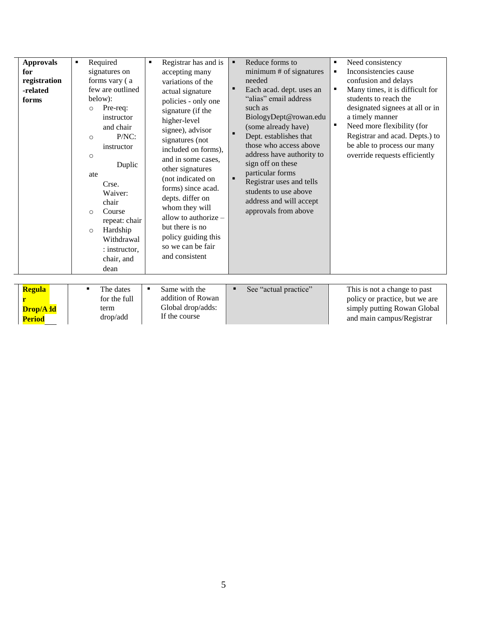| <b>Approvals</b><br>for<br>registration<br>-related<br>forms | Required<br>$\blacksquare$<br>signatures on<br>forms vary (a<br>few are outlined<br>below):<br>Pre-req:<br>$\circ$<br>instructor<br>and chair<br>$P/NC$ :<br>$\circ$<br>instructor<br>$\circ$<br>Duplic<br>ate<br>Crse.<br>Waiver:<br>chair<br>Course<br>$\circ$<br>repeat: chair<br>Hardship<br>$\circ$<br>Withdrawal<br>: instructor,<br>chair, and<br>dean | Registrar has and is<br>accepting many<br>variations of the<br>actual signature<br>policies - only one<br>signature (if the<br>higher-level<br>signee), advisor<br>signatures (not<br>included on forms),<br>and in some cases,<br>other signatures<br>(not indicated on<br>forms) since acad.<br>depts. differ on<br>whom they will<br>allow to authorize -<br>but there is no<br>policy guiding this<br>so we can be fair<br>and consistent | Reduce forms to<br>٠<br>minimum # of signatures<br>needed<br>$\blacksquare$<br>Each acad. dept. uses an<br>"alias" email address<br>such as<br>BiologyDept@rowan.edu<br>(some already have)<br>Dept. establishes that<br>those who access above<br>address have authority to<br>sign off on these<br>particular forms<br>Registrar uses and tells<br>students to use above<br>address and will accept<br>approvals from above | Need consistency<br>$\blacksquare$<br>Inconsistencies cause<br>٠<br>confusion and delays<br>Many times, it is difficult for<br>$\blacksquare$<br>students to reach the<br>designated signees at all or in<br>a timely manner<br>٠<br>Need more flexibility (for<br>Registrar and acad. Depts.) to<br>be able to process our many<br>override requests efficiently |
|--------------------------------------------------------------|---------------------------------------------------------------------------------------------------------------------------------------------------------------------------------------------------------------------------------------------------------------------------------------------------------------------------------------------------------------|-----------------------------------------------------------------------------------------------------------------------------------------------------------------------------------------------------------------------------------------------------------------------------------------------------------------------------------------------------------------------------------------------------------------------------------------------|-------------------------------------------------------------------------------------------------------------------------------------------------------------------------------------------------------------------------------------------------------------------------------------------------------------------------------------------------------------------------------------------------------------------------------|-------------------------------------------------------------------------------------------------------------------------------------------------------------------------------------------------------------------------------------------------------------------------------------------------------------------------------------------------------------------|
| <b>Regula</b><br>Drop/A ld<br><b>Period</b>                  | The dates<br>٠<br>for the full<br>term<br>drop/add                                                                                                                                                                                                                                                                                                            | Same with the<br>$\blacksquare$<br>addition of Rowan<br>Global drop/adds:<br>If the course                                                                                                                                                                                                                                                                                                                                                    | See "actual practice"<br>٠                                                                                                                                                                                                                                                                                                                                                                                                    | This is not a change to past<br>policy or practice, but we are<br>simply putting Rowan Global<br>and main campus/Registrar                                                                                                                                                                                                                                        |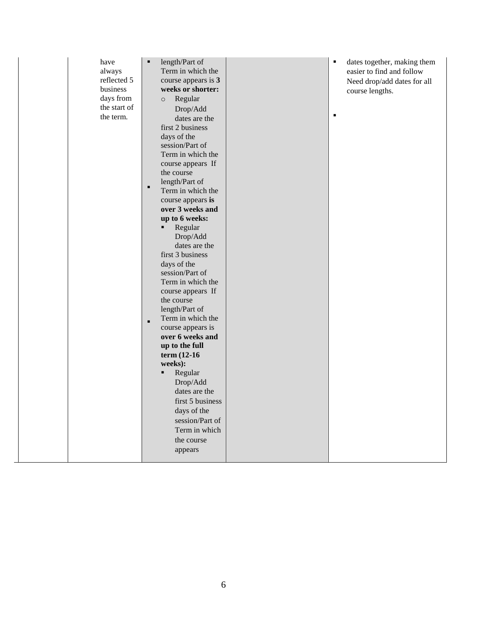| have<br>always<br>reflected 5<br>business<br>days from<br>the start of<br>the term. | length/Part of<br>٠<br>Term in which the<br>course appears is 3<br>weeks or shorter:<br>Regular<br>$\circ$<br>Drop/Add<br>dates are the<br>first 2 business<br>days of the<br>session/Part of<br>Term in which the<br>course appears If<br>the course<br>length/Part of<br>٠<br>Term in which the<br>course appears is<br>over 3 weeks and<br>up to 6 weeks:<br>Regular<br>٠<br>Drop/Add<br>dates are the<br>first 3 business<br>days of the<br>session/Part of<br>Term in which the<br>course appears If<br>the course<br>length/Part of<br>Term in which the<br>$\blacksquare$<br>course appears is<br>over 6 weeks and<br>up to the full<br>term (12-16)<br>weeks):<br>Regular<br>Ξ<br>Drop/Add<br>dates are the<br>first 5 business<br>days of the<br>session/Part of<br>Term in which<br>the course<br>appears | dates together, making them<br>٠<br>easier to find and follow<br>Need drop/add dates for all<br>course lengths.<br>٠ |
|-------------------------------------------------------------------------------------|---------------------------------------------------------------------------------------------------------------------------------------------------------------------------------------------------------------------------------------------------------------------------------------------------------------------------------------------------------------------------------------------------------------------------------------------------------------------------------------------------------------------------------------------------------------------------------------------------------------------------------------------------------------------------------------------------------------------------------------------------------------------------------------------------------------------|----------------------------------------------------------------------------------------------------------------------|
|-------------------------------------------------------------------------------------|---------------------------------------------------------------------------------------------------------------------------------------------------------------------------------------------------------------------------------------------------------------------------------------------------------------------------------------------------------------------------------------------------------------------------------------------------------------------------------------------------------------------------------------------------------------------------------------------------------------------------------------------------------------------------------------------------------------------------------------------------------------------------------------------------------------------|----------------------------------------------------------------------------------------------------------------------|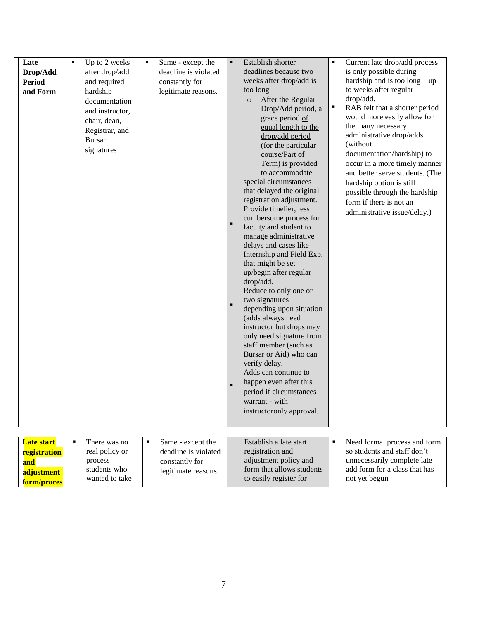| Late<br>Drop/Add<br><b>Period</b><br>and Form          | Up to 2 weeks<br>٠<br>after drop/add<br>and required<br>hardship<br>documentation<br>and instructor,<br>chair, dean,<br>Registrar, and<br><b>Bursar</b><br>signatures | Same - except the<br>٠<br>deadline is violated<br>constantly for<br>legitimate reasons.              | Establish shorter<br>٠<br>deadlines because two<br>weeks after drop/add is<br>too long<br>After the Regular<br>$\circ$<br>Drop/Add period, a<br>grace period of<br>equal length to the<br>drop/add period<br>(for the particular<br>course/Part of<br>Term) is provided<br>to accommodate<br>special circumstances<br>that delayed the original<br>registration adjustment.<br>Provide timelier, less<br>cumbersome process for<br>$\blacksquare$<br>faculty and student to<br>manage administrative<br>delays and cases like<br>Internship and Field Exp.<br>that might be set<br>up/begin after regular<br>drop/add.<br>Reduce to only one or<br>two signatures $-$<br>$\blacksquare$<br>depending upon situation<br>(adds always need<br>instructor but drops may<br>only need signature from<br>staff member (such as<br>Bursar or Aid) who can<br>verify delay.<br>Adds can continue to<br>happen even after this<br>п<br>period if circumstances<br>warrant - with<br>instructoronly approval. | Current late drop/add process<br>is only possible during<br>hardship and is too $\log - \text{up}$<br>to weeks after regular<br>drop/add.<br>RAB felt that a shorter period<br>would more easily allow for<br>the many necessary<br>administrative drop/adds<br>(without<br>documentation/hardship) to<br>occur in a more timely manner<br>and better serve students. (The<br>hardship option is still<br>possible through the hardship<br>form if there is not an<br>administrative issue/delay.) |
|--------------------------------------------------------|-----------------------------------------------------------------------------------------------------------------------------------------------------------------------|------------------------------------------------------------------------------------------------------|------------------------------------------------------------------------------------------------------------------------------------------------------------------------------------------------------------------------------------------------------------------------------------------------------------------------------------------------------------------------------------------------------------------------------------------------------------------------------------------------------------------------------------------------------------------------------------------------------------------------------------------------------------------------------------------------------------------------------------------------------------------------------------------------------------------------------------------------------------------------------------------------------------------------------------------------------------------------------------------------------|----------------------------------------------------------------------------------------------------------------------------------------------------------------------------------------------------------------------------------------------------------------------------------------------------------------------------------------------------------------------------------------------------------------------------------------------------------------------------------------------------|
| <b>Late start</b><br>registration<br>and<br>adjustment | $\blacksquare$<br>There was no<br>real policy or<br>$process -$<br>students who                                                                                       | $\blacksquare$<br>Same - except the<br>deadline is violated<br>constantly for<br>legitimate reasons. | Establish a late start<br>registration and<br>adjustment policy and<br>form that allows students                                                                                                                                                                                                                                                                                                                                                                                                                                                                                                                                                                                                                                                                                                                                                                                                                                                                                                     | Need formal process and form<br>٠<br>so students and staff don't<br>unnecessarily complete late<br>add form for a class that has                                                                                                                                                                                                                                                                                                                                                                   |

to easily register for

not yet begun

wanted to take

**form/proces**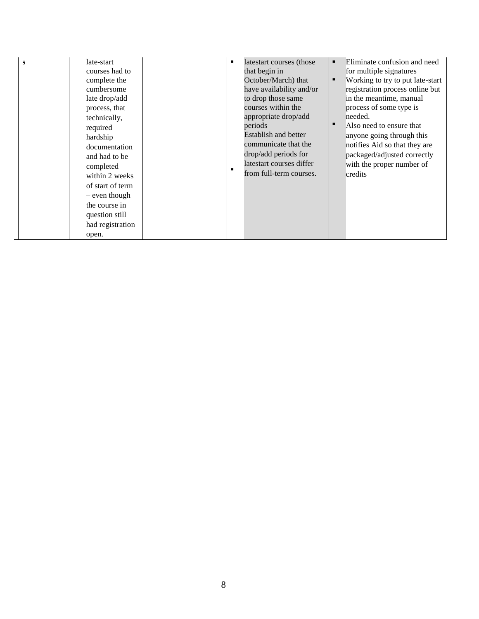| -3 | late-start<br>courses had to<br>complete the<br>cumbersome<br>late drop/add<br>process, that<br>technically,<br>required<br>hardship<br>documentation<br>and had to be<br>completed<br>within 2 weeks<br>of start of term<br>– even though<br>the course in<br>question still<br>had registration<br>open. |  |  | latestart courses (those)<br>that begin in<br>October/March) that<br>have availability and/or<br>to drop those same<br>courses within the<br>appropriate drop/add<br>periods<br>Establish and better<br>communicate that the<br>drop/add periods for<br>latestart courses differ<br>from full-term courses. | ٠<br>٠ | Eliminate confusion and need<br>for multiple signatures<br>Working to try to put late-start<br>registration process online but<br>in the meantime, manual<br>process of some type is<br>needed.<br>Also need to ensure that<br>anyone going through this<br>notifies Aid so that they are<br>packaged/adjusted correctly<br>with the proper number of<br>credits |
|----|------------------------------------------------------------------------------------------------------------------------------------------------------------------------------------------------------------------------------------------------------------------------------------------------------------|--|--|-------------------------------------------------------------------------------------------------------------------------------------------------------------------------------------------------------------------------------------------------------------------------------------------------------------|--------|------------------------------------------------------------------------------------------------------------------------------------------------------------------------------------------------------------------------------------------------------------------------------------------------------------------------------------------------------------------|
|----|------------------------------------------------------------------------------------------------------------------------------------------------------------------------------------------------------------------------------------------------------------------------------------------------------------|--|--|-------------------------------------------------------------------------------------------------------------------------------------------------------------------------------------------------------------------------------------------------------------------------------------------------------------|--------|------------------------------------------------------------------------------------------------------------------------------------------------------------------------------------------------------------------------------------------------------------------------------------------------------------------------------------------------------------------|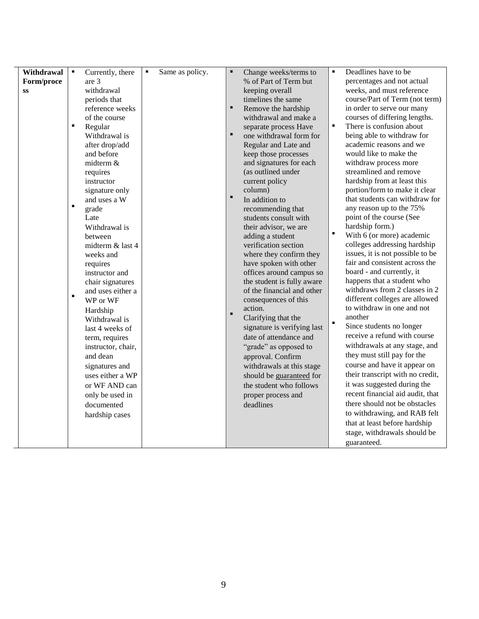| Withdrawal | $\blacksquare$<br>Currently, there | Same as policy.<br>$\blacksquare$ | $\blacksquare$<br>Change weeks/terms to   | Deadlines have to be<br>$\blacksquare$ |
|------------|------------------------------------|-----------------------------------|-------------------------------------------|----------------------------------------|
| Form/proce | are 3                              |                                   | % of Part of Term but                     | percentages and not actual             |
| <b>SS</b>  | withdrawal                         |                                   | keeping overall                           | weeks, and must reference              |
|            | periods that                       |                                   | timelines the same                        | course/Part of Term (not term)         |
|            | reference weeks                    |                                   | $\blacksquare$<br>Remove the hardship     | in order to serve our many             |
|            | of the course                      |                                   | withdrawal and make a                     | courses of differing lengths.          |
|            | $\blacksquare$<br>Regular          |                                   | separate process Have                     | Ξ<br>There is confusion about          |
|            | Withdrawal is                      |                                   | $\blacksquare$<br>one withdrawal form for | being able to withdraw for             |
|            | after drop/add                     |                                   | Regular and Late and                      | academic reasons and we                |
|            | and before                         |                                   | keep those processes                      | would like to make the                 |
|            | midterm &                          |                                   | and signatures for each                   | withdraw process more                  |
|            | requires                           |                                   | (as outlined under                        | streamlined and remove                 |
|            | instructor                         |                                   | current policy                            | hardship from at least this            |
|            | signature only                     |                                   | column)                                   | portion/form to make it clear          |
|            | and uses a W                       |                                   | п<br>In addition to                       | that students can withdraw for         |
|            | $\blacksquare$<br>grade            |                                   | recommending that                         | any reason up to the 75%               |
|            | Late                               |                                   | students consult with                     | point of the course (See               |
|            | Withdrawal is                      |                                   | their advisor, we are                     | hardship form.)                        |
|            | between                            |                                   | adding a student                          | п<br>With 6 (or more) academic         |
|            | midterm & last 4                   |                                   | verification section                      | colleges addressing hardship           |
|            | weeks and                          |                                   | where they confirm they                   | issues, it is not possible to be       |
|            | requires                           |                                   | have spoken with other                    | fair and consistent across the         |
|            | instructor and                     |                                   | offices around campus so                  | board - and currently, it              |
|            | chair signatures                   |                                   | the student is fully aware                | happens that a student who             |
|            | and uses either a                  |                                   | of the financial and other                | withdraws from 2 classes in 2          |
|            | $\blacksquare$<br>WP or WF         |                                   | consequences of this                      | different colleges are allowed         |
|            | Hardship                           |                                   | action.                                   | to withdraw in one and not             |
|            | Withdrawal is                      |                                   | $\blacksquare$<br>Clarifying that the     | another                                |
|            | last 4 weeks of                    |                                   | signature is verifying last               | н<br>Since students no longer          |
|            | term, requires                     |                                   | date of attendance and                    | receive a refund with course           |
|            | instructor, chair,                 |                                   | "grade" as opposed to                     | withdrawals at any stage, and          |
|            | and dean                           |                                   | approval. Confirm                         | they must still pay for the            |
|            | signatures and                     |                                   | withdrawals at this stage                 | course and have it appear on           |
|            | uses either a WP                   |                                   | should be guaranteed for                  | their transcript with no credit,       |
|            | or WF AND can                      |                                   | the student who follows                   | it was suggested during the            |
|            | only be used in                    |                                   |                                           | recent financial aid audit, that       |
|            |                                    |                                   | proper process and                        | there should not be obstacles          |
|            | documented                         |                                   | deadlines                                 | to withdrawing, and RAB felt           |
|            | hardship cases                     |                                   |                                           | that at least before hardship          |
|            |                                    |                                   |                                           |                                        |
|            |                                    |                                   |                                           | stage, withdrawals should be           |
|            |                                    |                                   |                                           | guaranteed.                            |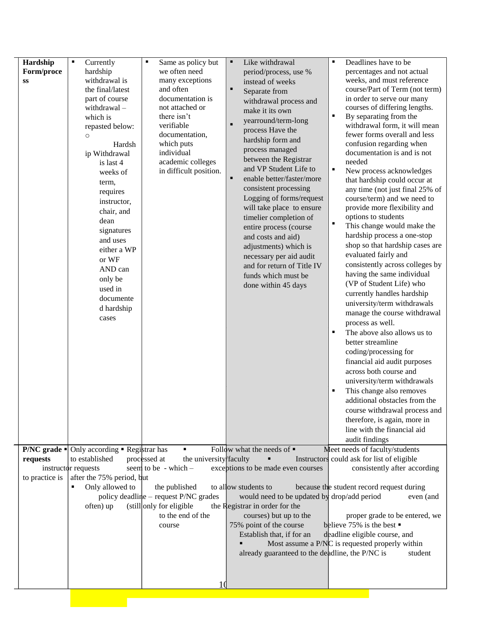| Hardship<br>Form/proce<br>SS                      | ٠ | Currently<br>hardship<br>withdrawal is<br>the final/latest<br>part of course<br>withdrawal-<br>which is<br>repasted below:<br>$\circ$<br>Hardsh<br>ip Withdrawal<br>is last 4<br>weeks of<br>term,<br>requires<br>instructor,<br>chair, and<br>dean<br>signatures<br>and uses<br>either a WP<br>or WF<br>AND can<br>only be<br>used in<br>documente<br>d hardship<br>cases | Ξ | Same as policy but<br>we often need<br>many exceptions<br>and often<br>documentation is<br>not attached or<br>there isn't<br>verifiable<br>documentation,<br>which puts<br>individual<br>academic colleges<br>in difficult position. | ٠<br>$\blacksquare$<br>$\blacksquare$ | Like withdrawal<br>period/process, use %<br>instead of weeks<br>Separate from<br>withdrawal process and<br>make it its own<br>yearround/term-long<br>process Have the<br>hardship form and<br>process managed<br>between the Registrar<br>and VP Student Life to<br>enable better/faster/more<br>consistent processing<br>Logging of forms/request<br>will take place to ensure<br>timelier completion of<br>entire process (course<br>and costs and aid)<br>adjustments) which is<br>necessary per aid audit<br>and for return of Title IV<br>funds which must be<br>done within 45 days | $\blacksquare$<br>٠<br>$\blacksquare$<br>٠<br>٠<br>٠ | Deadlines have to be<br>percentages and not actual<br>weeks, and must reference<br>course/Part of Term (not term)<br>in order to serve our many<br>courses of differing lengths.<br>By separating from the<br>withdrawal form, it will mean<br>fewer forms overall and less<br>confusion regarding when<br>documentation is and is not<br>needed<br>New process acknowledges<br>that hardship could occur at<br>any time (not just final 25% of<br>course/term) and we need to<br>provide more flexibility and<br>options to students<br>This change would make the<br>hardship process a one-stop<br>shop so that hardship cases are<br>evaluated fairly and<br>consistently across colleges by<br>having the same individual<br>(VP of Student Life) who<br>currently handles hardship<br>university/term withdrawals<br>manage the course withdrawal<br>process as well.<br>The above also allows us to<br>better streamline<br>coding/processing for<br>financial aid audit purposes<br>across both course and<br>university/term withdrawals<br>This change also removes<br>additional obstacles from the<br>course withdrawal process and<br>therefore, is again, more in<br>line with the financial aid |
|---------------------------------------------------|---|----------------------------------------------------------------------------------------------------------------------------------------------------------------------------------------------------------------------------------------------------------------------------------------------------------------------------------------------------------------------------|---|--------------------------------------------------------------------------------------------------------------------------------------------------------------------------------------------------------------------------------------|---------------------------------------|-------------------------------------------------------------------------------------------------------------------------------------------------------------------------------------------------------------------------------------------------------------------------------------------------------------------------------------------------------------------------------------------------------------------------------------------------------------------------------------------------------------------------------------------------------------------------------------------|------------------------------------------------------|----------------------------------------------------------------------------------------------------------------------------------------------------------------------------------------------------------------------------------------------------------------------------------------------------------------------------------------------------------------------------------------------------------------------------------------------------------------------------------------------------------------------------------------------------------------------------------------------------------------------------------------------------------------------------------------------------------------------------------------------------------------------------------------------------------------------------------------------------------------------------------------------------------------------------------------------------------------------------------------------------------------------------------------------------------------------------------------------------------------------------------------------------------------------------------------------------------------|
| requests<br>instructor requests<br>to practice is |   | <b>P/NC</b> grade $\blacksquare$ Only according $\blacksquare$ Registrar has<br>processed at<br>to established<br>after the 75% period, but<br>Only allowed to<br>often) up                                                                                                                                                                                                |   | the university/faculty<br>seem to be - which $-$<br>the published<br>policy deadline - request P/NC grades<br>(still only for eligible<br>to the end of the<br>course<br>10                                                          |                                       | Follow what the needs of $\blacksquare$<br>exceptions to be made even courses<br>to allow students to<br>would need to be updated by drop/add period<br>the Registrar in order for the<br>courses) but up to the<br>75% point of the course<br>Establish that, if for an<br>already guaranteed to the deadline, the P/NC is                                                                                                                                                                                                                                                               |                                                      | audit findings<br>Meet needs of faculty/students<br>Instructors could ask for list of eligible<br>consistently after according<br>because the student record request during<br>even (and<br>proper grade to be entered, we<br>believe 75% is the best $\blacksquare$<br>deadline eligible course, and<br>Most assume a P/NC is requested properly within<br>student                                                                                                                                                                                                                                                                                                                                                                                                                                                                                                                                                                                                                                                                                                                                                                                                                                            |